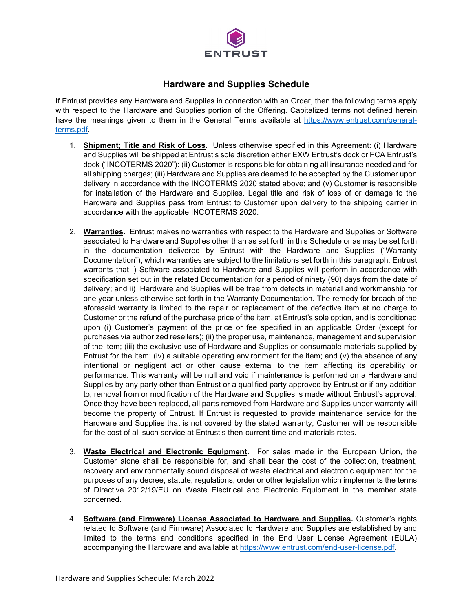

## **Hardware and Supplies Schedule**

If Entrust provides any Hardware and Supplies in connection with an Order, then the following terms apply with respect to the Hardware and Supplies portion of the Offering. Capitalized terms not defined herein have the meanings given to them in the General Terms available at [https://www.entrust.com/general](https://www.entrust.com/general-terms.pdf)[terms.pdf.](https://www.entrust.com/general-terms.pdf)

- 1. **Shipment; Title and Risk of Loss.** Unless otherwise specified in this Agreement: (i) Hardware and Supplies will be shipped at Entrust's sole discretion either EXW Entrust's dock or FCA Entrust's dock ("INCOTERMS 2020"): (ii) Customer is responsible for obtaining all insurance needed and for all shipping charges; (iii) Hardware and Supplies are deemed to be accepted by the Customer upon delivery in accordance with the INCOTERMS 2020 stated above; and (v) Customer is responsible for installation of the Hardware and Supplies. Legal title and risk of loss of or damage to the Hardware and Supplies pass from Entrust to Customer upon delivery to the shipping carrier in accordance with the applicable INCOTERMS 2020.
- 2. **Warranties.** Entrust makes no warranties with respect to the Hardware and Supplies or Software associated to Hardware and Supplies other than as set forth in this Schedule or as may be set forth in the documentation delivered by Entrust with the Hardware and Supplies ("Warranty Documentation"), which warranties are subject to the limitations set forth in this paragraph. Entrust warrants that i) Software associated to Hardware and Supplies will perform in accordance with specification set out in the related Documentation for a period of ninety (90) days from the date of delivery; and ii) Hardware and Supplies will be free from defects in material and workmanship for one year unless otherwise set forth in the Warranty Documentation. The remedy for breach of the aforesaid warranty is limited to the repair or replacement of the defective item at no charge to Customer or the refund of the purchase price of the item, at Entrust's sole option, and is conditioned upon (i) Customer's payment of the price or fee specified in an applicable Order (except for purchases via authorized resellers); (ii) the proper use, maintenance, management and supervision of the item; (iii) the exclusive use of Hardware and Supplies or consumable materials supplied by Entrust for the item; (iv) a suitable operating environment for the item; and (v) the absence of any intentional or negligent act or other cause external to the item affecting its operability or performance. This warranty will be null and void if maintenance is performed on a Hardware and Supplies by any party other than Entrust or a qualified party approved by Entrust or if any addition to, removal from or modification of the Hardware and Supplies is made without Entrust's approval. Once they have been replaced, all parts removed from Hardware and Supplies under warranty will become the property of Entrust. If Entrust is requested to provide maintenance service for the Hardware and Supplies that is not covered by the stated warranty, Customer will be responsible for the cost of all such service at Entrust's then-current time and materials rates.
- 3. **Waste Electrical and Electronic Equipment.** For sales made in the European Union, the Customer alone shall be responsible for, and shall bear the cost of the collection, treatment, recovery and environmentally sound disposal of waste electrical and electronic equipment for the purposes of any decree, statute, regulations, order or other legislation which implements the terms of Directive 2012/19/EU on Waste Electrical and Electronic Equipment in the member state concerned.
- 4. **Software (and Firmware) License Associated to Hardware and Supplies.** Customer's rights related to Software (and Firmware) Associated to Hardware and Supplies are established by and limited to the terms and conditions specified in the End User License Agreement (EULA) accompanying the Hardware and available at [https://www.entrust.com/end-user-license.pdf.](https://www.entrust.com/end-user-license.pdf)